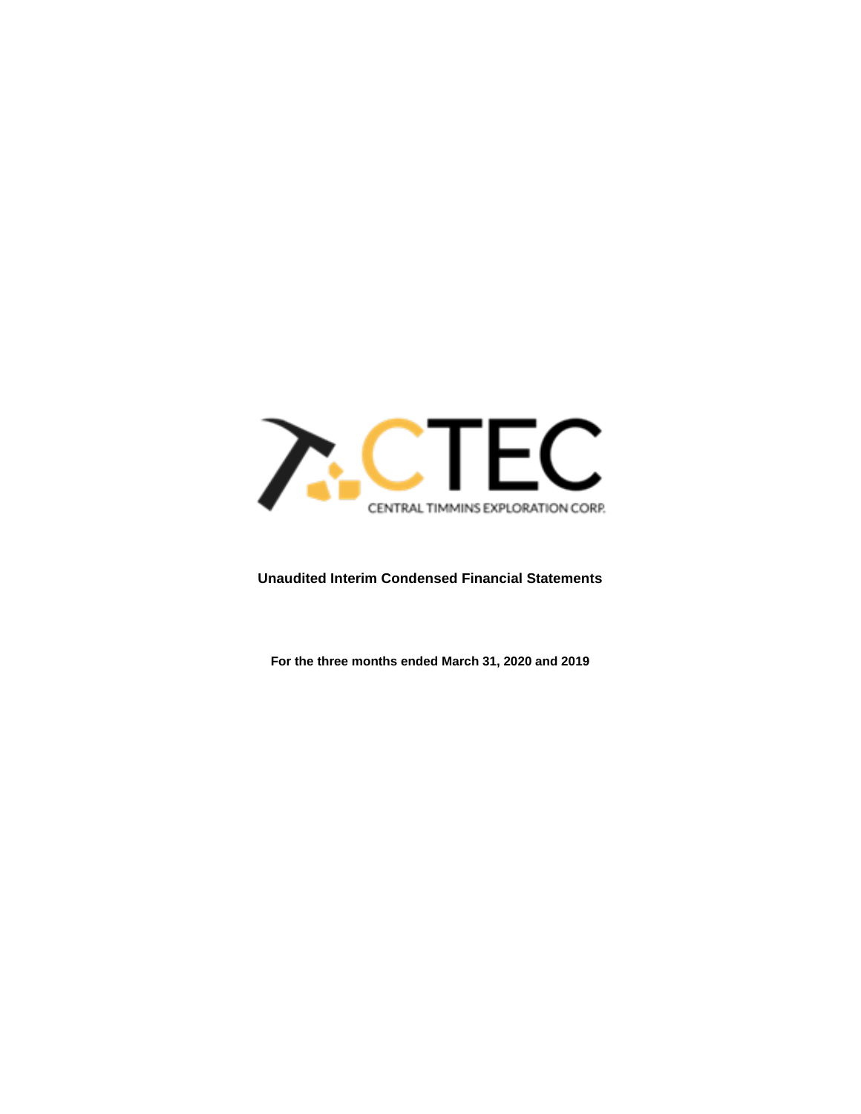

# **Unaudited Interim Condensed Financial Statements**

**For the three months ended March 31, 2020 and 2019**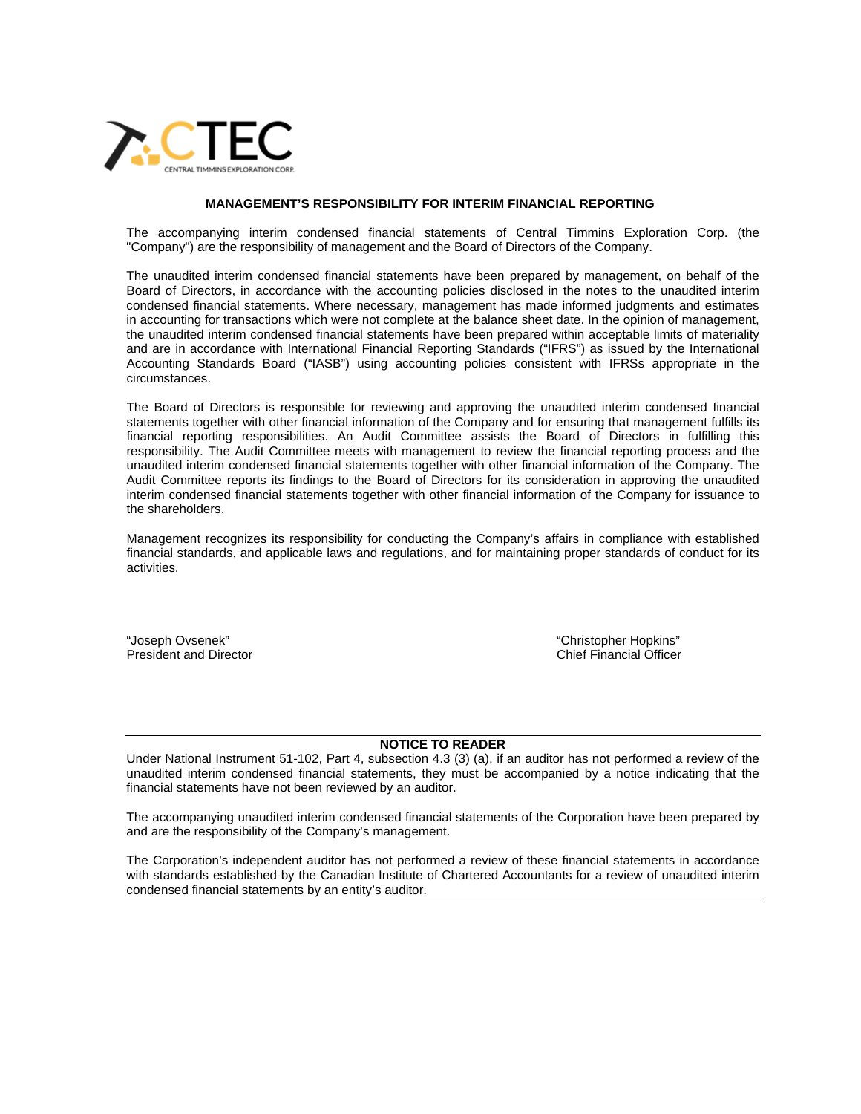

#### **MANAGEMENT'S RESPONSIBILITY FOR INTERIM FINANCIAL REPORTING**

The accompanying interim condensed financial statements of Central Timmins Exploration Corp. (the "Company") are the responsibility of management and the Board of Directors of the Company.

The unaudited interim condensed financial statements have been prepared by management, on behalf of the Board of Directors, in accordance with the accounting policies disclosed in the notes to the unaudited interim condensed financial statements. Where necessary, management has made informed judgments and estimates in accounting for transactions which were not complete at the balance sheet date. In the opinion of management, the unaudited interim condensed financial statements have been prepared within acceptable limits of materiality and are in accordance with International Financial Reporting Standards ("IFRS") as issued by the International Accounting Standards Board ("IASB") using accounting policies consistent with IFRSs appropriate in the circumstances.

The Board of Directors is responsible for reviewing and approving the unaudited interim condensed financial statements together with other financial information of the Company and for ensuring that management fulfills its financial reporting responsibilities. An Audit Committee assists the Board of Directors in fulfilling this responsibility. The Audit Committee meets with management to review the financial reporting process and the unaudited interim condensed financial statements together with other financial information of the Company. The Audit Committee reports its findings to the Board of Directors for its consideration in approving the unaudited interim condensed financial statements together with other financial information of the Company for issuance to the shareholders.

Management recognizes its responsibility for conducting the Company's affairs in compliance with established financial standards, and applicable laws and regulations, and for maintaining proper standards of conduct for its activities.

"Joseph Ovsenek" "Christopher Hopkins" President and Director

#### **NOTICE TO READER**

Under National Instrument 51-102, Part 4, subsection 4.3 (3) (a), if an auditor has not performed a review of the unaudited interim condensed financial statements, they must be accompanied by a notice indicating that the financial statements have not been reviewed by an auditor.

The accompanying unaudited interim condensed financial statements of the Corporation have been prepared by and are the responsibility of the Company's management.

The Corporation's independent auditor has not performed a review of these financial statements in accordance with standards established by the Canadian Institute of Chartered Accountants for a review of unaudited interim condensed financial statements by an entity's auditor.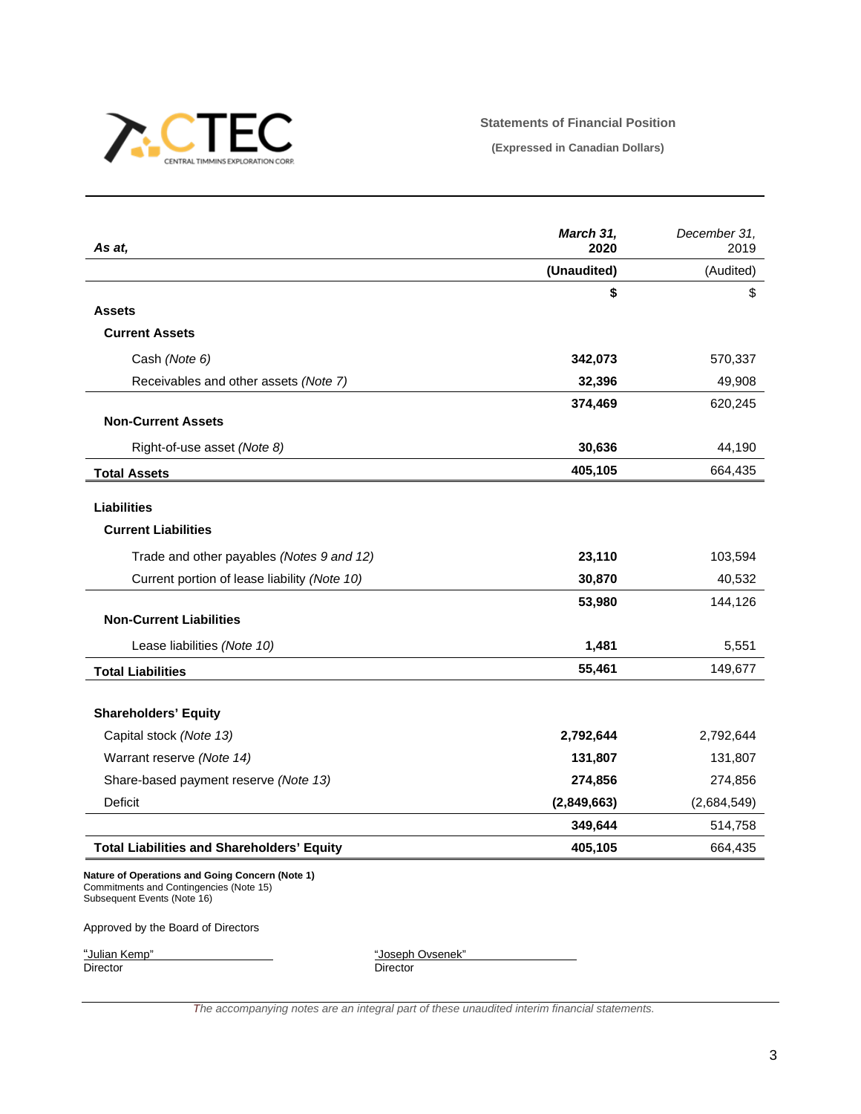

## **Statements of Financial Position**

**(Expressed in Canadian Dollars)**

| As at.                                                                                                                    | March 31,<br>2020 | December 31,<br>2019 |
|---------------------------------------------------------------------------------------------------------------------------|-------------------|----------------------|
|                                                                                                                           | (Unaudited)       | (Audited)            |
|                                                                                                                           | \$                | \$                   |
| <b>Assets</b>                                                                                                             |                   |                      |
| <b>Current Assets</b>                                                                                                     |                   |                      |
| Cash (Note 6)                                                                                                             | 342,073           | 570,337              |
| Receivables and other assets (Note 7)                                                                                     | 32,396            | 49,908               |
|                                                                                                                           | 374,469           | 620,245              |
| <b>Non-Current Assets</b>                                                                                                 |                   |                      |
| Right-of-use asset (Note 8)                                                                                               | 30,636            | 44,190               |
| <b>Total Assets</b>                                                                                                       | 405,105           | 664,435              |
|                                                                                                                           |                   |                      |
| <b>Liabilities</b>                                                                                                        |                   |                      |
| <b>Current Liabilities</b>                                                                                                |                   |                      |
| Trade and other payables (Notes 9 and 12)                                                                                 | 23,110            | 103,594              |
| Current portion of lease liability (Note 10)                                                                              | 30,870            | 40,532               |
|                                                                                                                           | 53,980            | 144,126              |
| <b>Non-Current Liabilities</b>                                                                                            |                   |                      |
| Lease liabilities (Note 10)                                                                                               | 1,481             | 5,551                |
| <b>Total Liabilities</b>                                                                                                  | 55,461            | 149,677              |
| <b>Shareholders' Equity</b>                                                                                               |                   |                      |
| Capital stock (Note 13)                                                                                                   | 2,792,644         | 2,792,644            |
| Warrant reserve (Note 14)                                                                                                 | 131,807           | 131,807              |
| Share-based payment reserve (Note 13)                                                                                     | 274,856           | 274,856              |
| Deficit                                                                                                                   | (2,849,663)       | (2,684,549)          |
|                                                                                                                           | 349,644           | 514,758              |
| <b>Total Liabilities and Shareholders' Equity</b>                                                                         | 405,105           | 664,435              |
| Nature of Operations and Going Concern (Note 1)<br>Commitments and Contingencies (Note 15)<br>Subsequent Events (Note 16) |                   |                      |
| Approved by the Board of Directors                                                                                        |                   |                      |

"Julian Kemp"<br>Director

"Joseph Ovsenek"<br>Director

*The accompanying notes are an integral part of these unaudited interim financial statements.*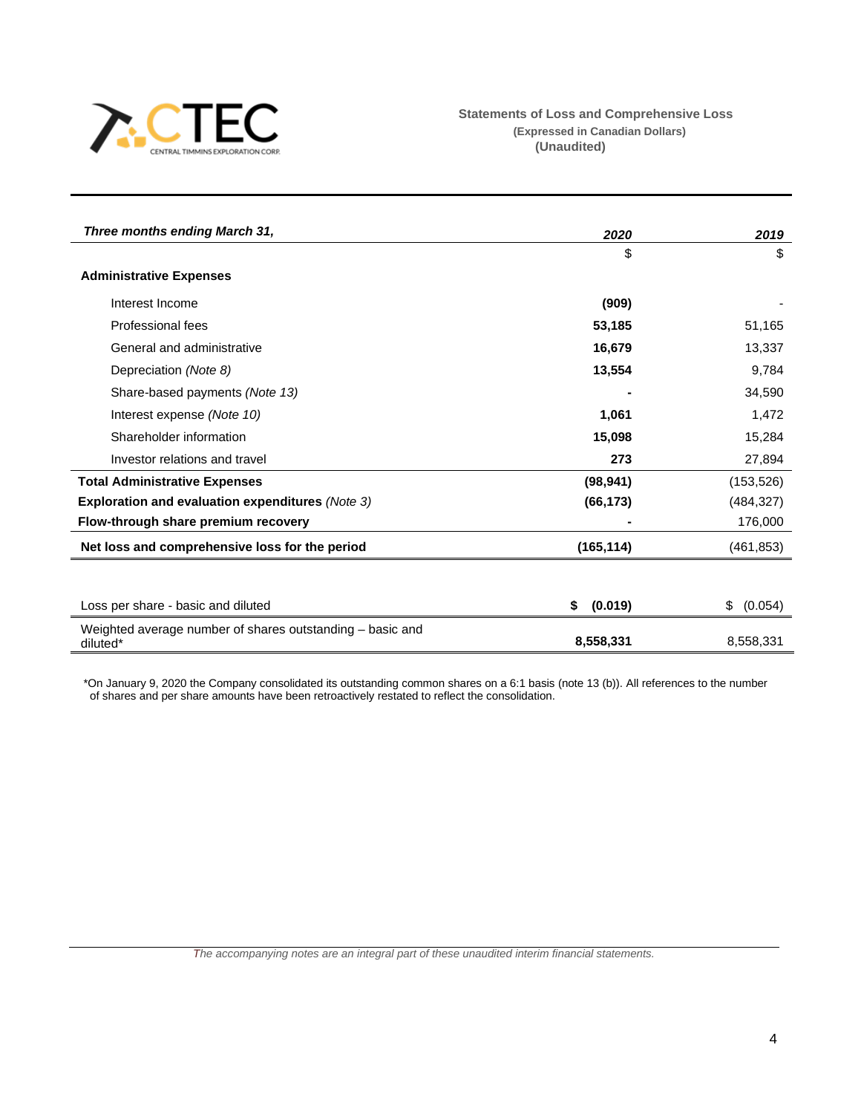

| Three months ending March 31,                                         | 2020          | 2019          |  |
|-----------------------------------------------------------------------|---------------|---------------|--|
|                                                                       | \$            | \$            |  |
| <b>Administrative Expenses</b>                                        |               |               |  |
| Interest Income                                                       | (909)         |               |  |
| Professional fees                                                     | 53,185        | 51,165        |  |
| General and administrative                                            | 16,679        | 13,337        |  |
| Depreciation (Note 8)                                                 | 13,554        | 9,784         |  |
| Share-based payments (Note 13)                                        |               | 34,590        |  |
| Interest expense (Note 10)                                            | 1,061         | 1,472         |  |
| Shareholder information                                               | 15,098        | 15,284        |  |
| Investor relations and travel                                         | 273           | 27,894        |  |
| <b>Total Administrative Expenses</b>                                  | (98, 941)     | (153, 526)    |  |
| Exploration and evaluation expenditures (Note 3)                      | (66, 173)     | (484, 327)    |  |
| Flow-through share premium recovery                                   |               | 176,000       |  |
| Net loss and comprehensive loss for the period                        | (165, 114)    | (461, 853)    |  |
|                                                                       |               |               |  |
| Loss per share - basic and diluted                                    | (0.019)<br>\$ | (0.054)<br>\$ |  |
| Weighted average number of shares outstanding - basic and<br>diluted* | 8,558,331     | 8,558,331     |  |

\*On January 9, 2020 the Company consolidated its outstanding common shares on a 6:1 basis (note 13 (b)). All references to the number of shares and per share amounts have been retroactively restated to reflect the consolidation.

*The accompanying notes are an integral part of these unaudited interim financial statements.*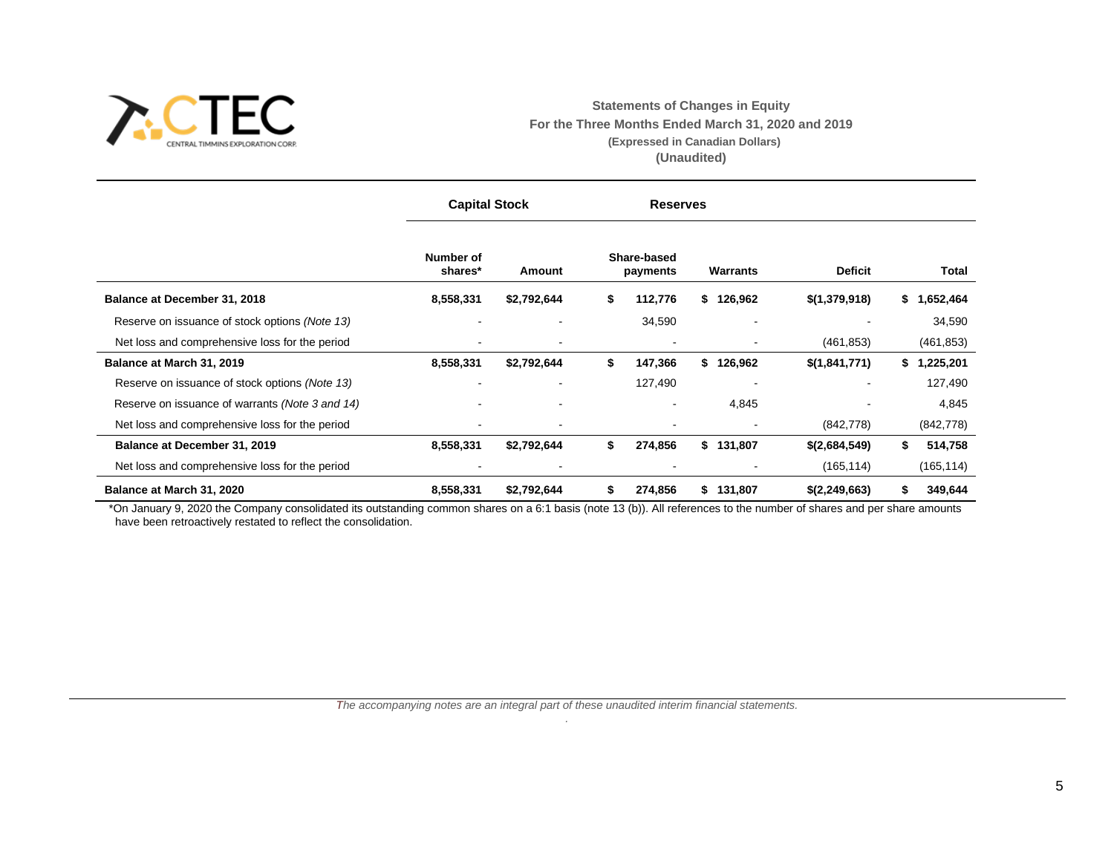

**Statements of Changes in Equity For the Three Months Ended March 31, 2020 and 2019 (Expressed in Canadian Dollars) (Unaudited)**

|                                                 | <b>Capital Stock</b> |                | <b>Reserves</b> |                         |               |                |                 |
|-------------------------------------------------|----------------------|----------------|-----------------|-------------------------|---------------|----------------|-----------------|
|                                                 | Number of<br>shares* | Amount         |                 | Share-based<br>payments | Warrants      | <b>Deficit</b> | <b>Total</b>    |
| Balance at December 31, 2018                    | 8,558,331            | \$2,792,644    | \$              | 112,776                 | \$126,962     | \$(1,379,918)  | \$1,652,464     |
| Reserve on issuance of stock options (Note 13)  |                      | ۰              |                 | 34,590                  |               |                | 34,590          |
| Net loss and comprehensive loss for the period  |                      | ۰              |                 |                         |               | (461, 853)     | (461, 853)      |
| Balance at March 31, 2019                       | 8,558,331            | \$2,792,644    | \$              | 147,366                 | \$<br>126,962 | \$(1,841,771)  | 1,225,201<br>\$ |
| Reserve on issuance of stock options (Note 13)  |                      | ۰              |                 | 127,490                 |               |                | 127,490         |
| Reserve on issuance of warrants (Note 3 and 14) |                      | ۰              |                 |                         | 4,845         |                | 4,845           |
| Net loss and comprehensive loss for the period  |                      | ۰              |                 |                         |               | (842, 778)     | (842, 778)      |
| Balance at December 31, 2019                    | 8,558,331            | \$2,792,644    | \$              | 274,856                 | \$131,807     | \$(2,684,549)  | \$<br>514,758   |
| Net loss and comprehensive loss for the period  |                      | $\blacksquare$ |                 |                         |               | (165, 114)     | (165, 114)      |
| Balance at March 31, 2020                       | 8,558,331            | \$2,792,644    | S               | 274,856                 | 131,807<br>\$ | \$(2,249,663)  | 349,644<br>\$   |

\*On January 9, 2020 the Company consolidated its outstanding common shares on a 6:1 basis (note 13 (b)). All references to the number of shares and per share amounts have been retroactively restated to reflect the consolidation.

> *The accompanying notes are an integral part of these unaudited interim financial statements. .*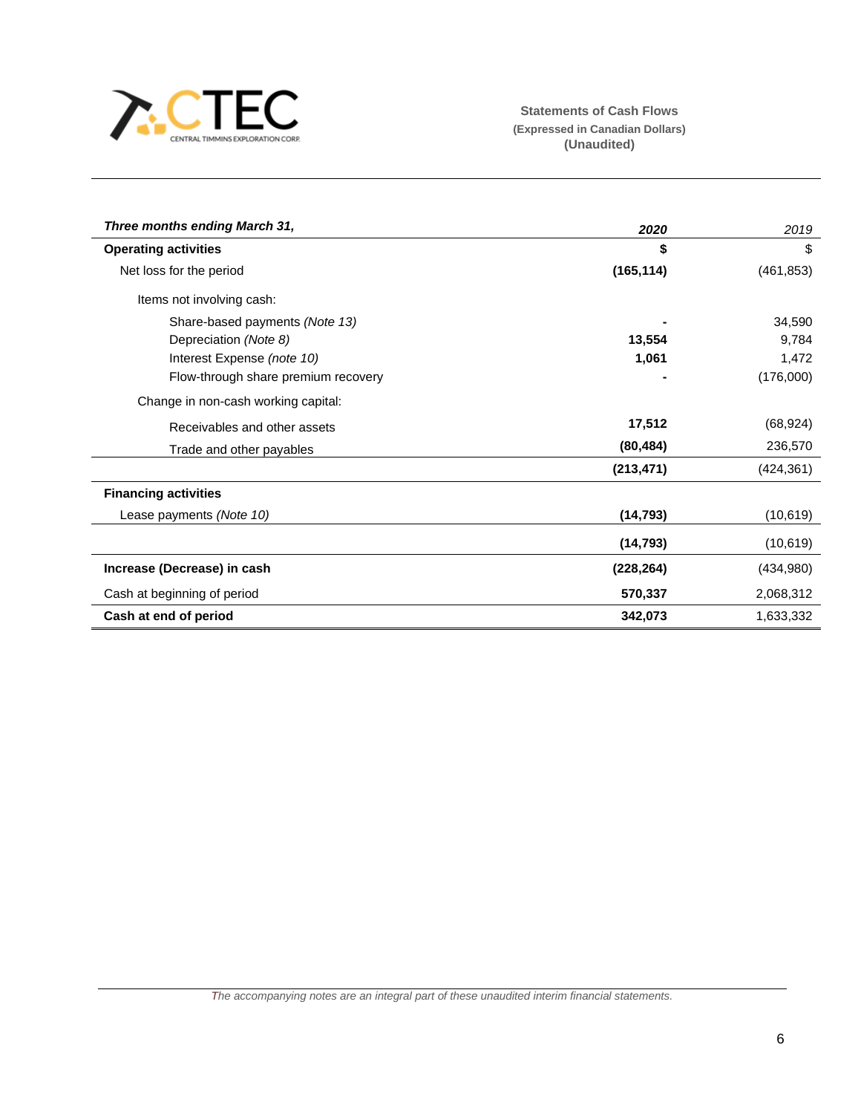

l.

| Three months ending March 31,       | 2020       | 2019       |
|-------------------------------------|------------|------------|
| <b>Operating activities</b>         | \$         | \$         |
| Net loss for the period             | (165, 114) | (461, 853) |
| Items not involving cash:           |            |            |
| Share-based payments (Note 13)      |            | 34,590     |
| Depreciation (Note 8)               | 13,554     | 9,784      |
| Interest Expense (note 10)          | 1,061      | 1,472      |
| Flow-through share premium recovery |            | (176,000)  |
| Change in non-cash working capital: |            |            |
| Receivables and other assets        | 17,512     | (68, 924)  |
| Trade and other payables            | (80, 484)  | 236,570    |
|                                     | (213, 471) | (424, 361) |
| <b>Financing activities</b>         |            |            |
| Lease payments (Note 10)            | (14, 793)  | (10, 619)  |
|                                     | (14, 793)  | (10, 619)  |
| Increase (Decrease) in cash         | (228, 264) | (434,980)  |
| Cash at beginning of period         | 570,337    | 2,068,312  |
| Cash at end of period               | 342,073    | 1,633,332  |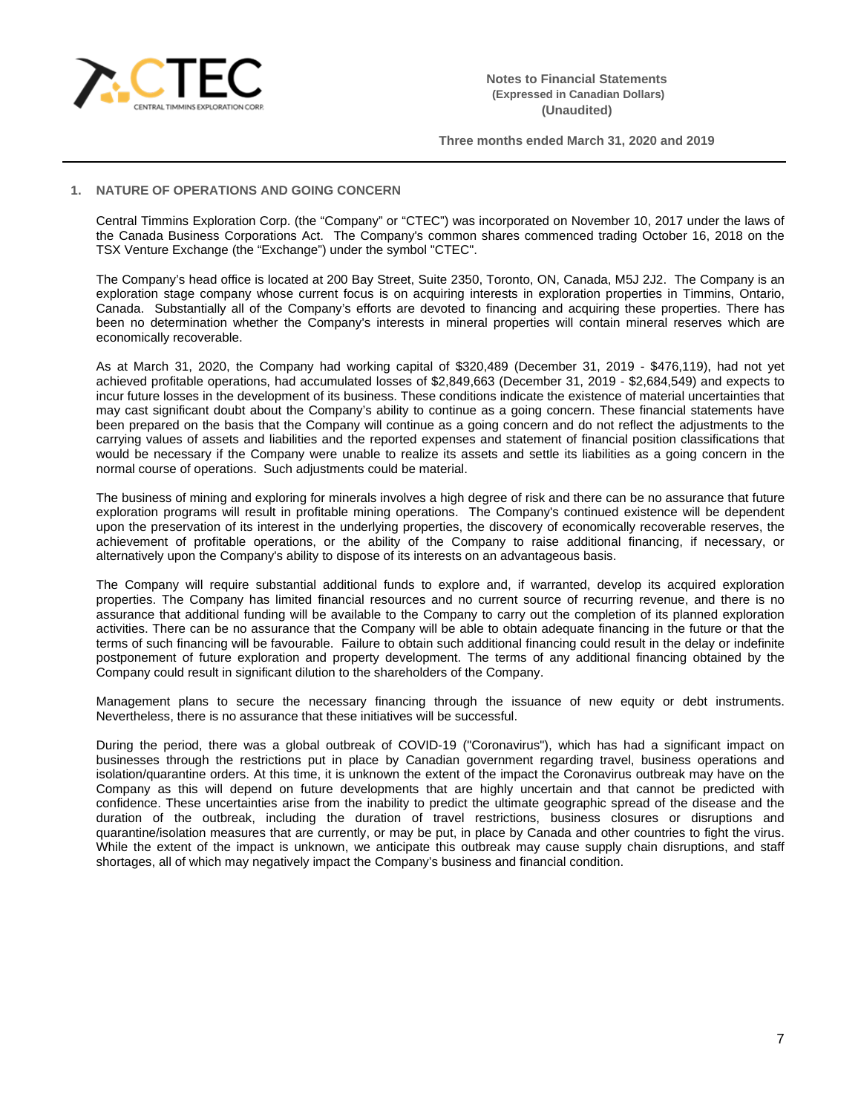

# **1. NATURE OF OPERATIONS AND GOING CONCERN**

Central Timmins Exploration Corp. (the "Company" or "CTEC") was incorporated on November 10, 2017 under the laws of the Canada Business Corporations Act. The Company's common shares commenced trading October 16, 2018 on the TSX Venture Exchange (the "Exchange") under the symbol "CTEC".

The Company's head office is located at 200 Bay Street, Suite 2350, Toronto, ON, Canada, M5J 2J2. The Company is an exploration stage company whose current focus is on acquiring interests in exploration properties in Timmins, Ontario, Canada. Substantially all of the Company's efforts are devoted to financing and acquiring these properties. There has been no determination whether the Company's interests in mineral properties will contain mineral reserves which are economically recoverable.

As at March 31, 2020, the Company had working capital of \$320,489 (December 31, 2019 - \$476,119), had not yet achieved profitable operations, had accumulated losses of \$2,849,663 (December 31, 2019 - \$2,684,549) and expects to incur future losses in the development of its business. These conditions indicate the existence of material uncertainties that may cast significant doubt about the Company's ability to continue as a going concern. These financial statements have been prepared on the basis that the Company will continue as a going concern and do not reflect the adjustments to the carrying values of assets and liabilities and the reported expenses and statement of financial position classifications that would be necessary if the Company were unable to realize its assets and settle its liabilities as a going concern in the normal course of operations. Such adjustments could be material.

The business of mining and exploring for minerals involves a high degree of risk and there can be no assurance that future exploration programs will result in profitable mining operations. The Company's continued existence will be dependent upon the preservation of its interest in the underlying properties, the discovery of economically recoverable reserves, the achievement of profitable operations, or the ability of the Company to raise additional financing, if necessary, or alternatively upon the Company's ability to dispose of its interests on an advantageous basis.

The Company will require substantial additional funds to explore and, if warranted, develop its acquired exploration properties. The Company has limited financial resources and no current source of recurring revenue, and there is no assurance that additional funding will be available to the Company to carry out the completion of its planned exploration activities. There can be no assurance that the Company will be able to obtain adequate financing in the future or that the terms of such financing will be favourable. Failure to obtain such additional financing could result in the delay or indefinite postponement of future exploration and property development. The terms of any additional financing obtained by the Company could result in significant dilution to the shareholders of the Company.

Management plans to secure the necessary financing through the issuance of new equity or debt instruments. Nevertheless, there is no assurance that these initiatives will be successful.

During the period, there was a global outbreak of COVID-19 ("Coronavirus"), which has had a significant impact on businesses through the restrictions put in place by Canadian government regarding travel, business operations and isolation/quarantine orders. At this time, it is unknown the extent of the impact the Coronavirus outbreak may have on the Company as this will depend on future developments that are highly uncertain and that cannot be predicted with confidence. These uncertainties arise from the inability to predict the ultimate geographic spread of the disease and the duration of the outbreak, including the duration of travel restrictions, business closures or disruptions and quarantine/isolation measures that are currently, or may be put, in place by Canada and other countries to fight the virus. While the extent of the impact is unknown, we anticipate this outbreak may cause supply chain disruptions, and staff shortages, all of which may negatively impact the Company's business and financial condition.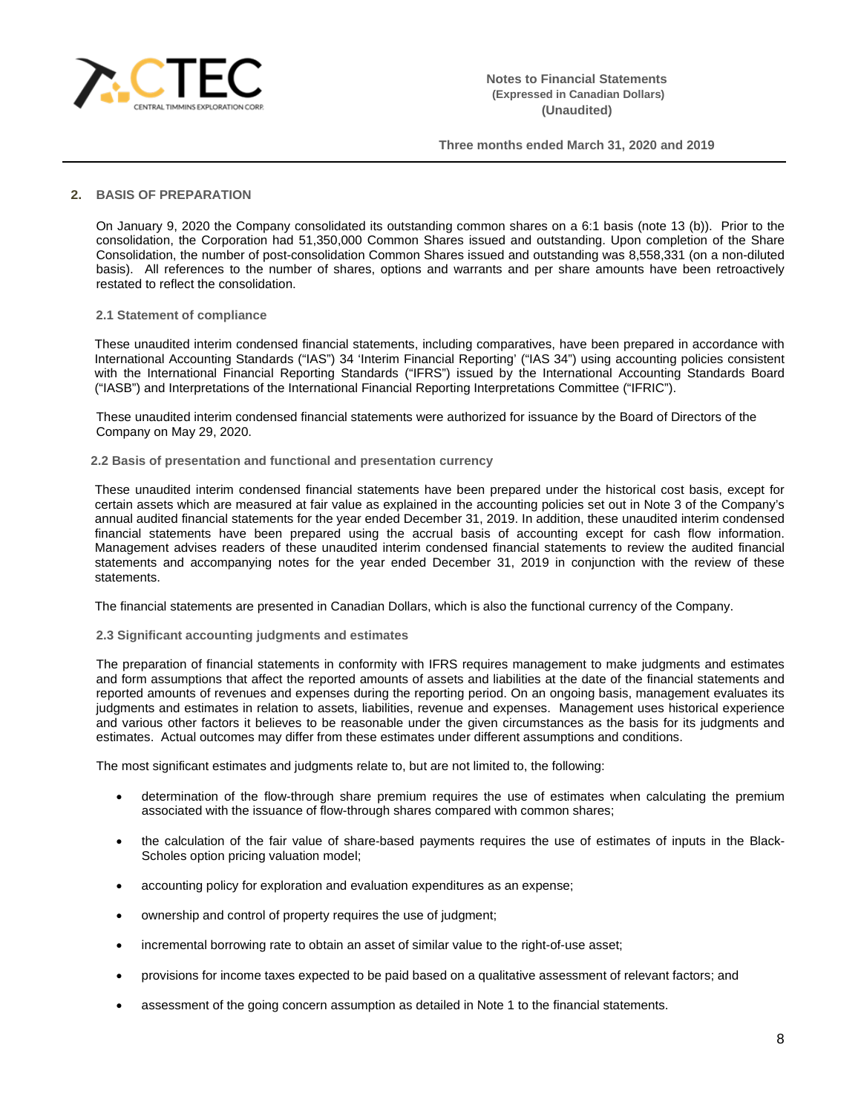

### **2. BASIS OF PREPARATION**

On January 9, 2020 the Company consolidated its outstanding common shares on a 6:1 basis (note 13 (b)). Prior to the consolidation, the Corporation had 51,350,000 Common Shares issued and outstanding. Upon completion of the Share Consolidation, the number of post-consolidation Common Shares issued and outstanding was 8,558,331 (on a non-diluted basis). All references to the number of shares, options and warrants and per share amounts have been retroactively restated to reflect the consolidation.

#### **2.1 Statement of compliance**

These unaudited interim condensed financial statements, including comparatives, have been prepared in accordance with International Accounting Standards ("IAS") 34 'Interim Financial Reporting' ("IAS 34") using accounting policies consistent with the International Financial Reporting Standards ("IFRS") issued by the International Accounting Standards Board ("IASB") and Interpretations of the International Financial Reporting Interpretations Committee ("IFRIC").

These unaudited interim condensed financial statements were authorized for issuance by the Board of Directors of the Company on May 29, 2020.

#### **2.2 Basis of presentation and functional and presentation currency**

These unaudited interim condensed financial statements have been prepared under the historical cost basis, except for certain assets which are measured at fair value as explained in the accounting policies set out in Note 3 of the Company's annual audited financial statements for the year ended December 31, 2019. In addition, these unaudited interim condensed financial statements have been prepared using the accrual basis of accounting except for cash flow information. Management advises readers of these unaudited interim condensed financial statements to review the audited financial statements and accompanying notes for the year ended December 31, 2019 in conjunction with the review of these statements.

The financial statements are presented in Canadian Dollars, which is also the functional currency of the Company.

#### **2.3 Significant accounting judgments and estimates**

The preparation of financial statements in conformity with IFRS requires management to make judgments and estimates and form assumptions that affect the reported amounts of assets and liabilities at the date of the financial statements and reported amounts of revenues and expenses during the reporting period. On an ongoing basis, management evaluates its judgments and estimates in relation to assets, liabilities, revenue and expenses. Management uses historical experience and various other factors it believes to be reasonable under the given circumstances as the basis for its judgments and estimates. Actual outcomes may differ from these estimates under different assumptions and conditions.

The most significant estimates and judgments relate to, but are not limited to, the following:

- determination of the flow-through share premium requires the use of estimates when calculating the premium associated with the issuance of flow-through shares compared with common shares;
- the calculation of the fair value of share-based payments requires the use of estimates of inputs in the Black-Scholes option pricing valuation model;
- accounting policy for exploration and evaluation expenditures as an expense;
- ownership and control of property requires the use of judgment;
- incremental borrowing rate to obtain an asset of similar value to the right-of-use asset;
- provisions for income taxes expected to be paid based on a qualitative assessment of relevant factors; and
- assessment of the going concern assumption as detailed in Note 1 to the financial statements.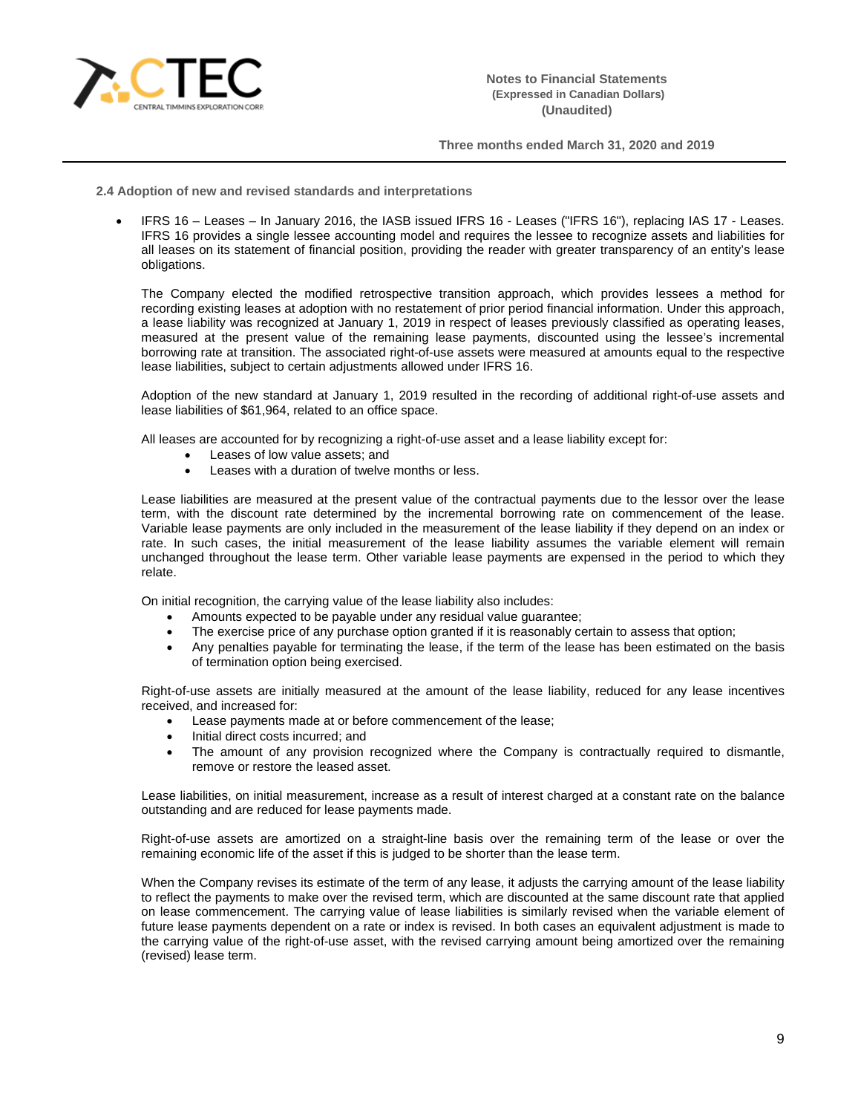

**2.4 Adoption of new and revised standards and interpretations**

• IFRS 16 – Leases – In January 2016, the IASB issued IFRS 16 - Leases ("IFRS 16"), replacing IAS 17 - Leases. IFRS 16 provides a single lessee accounting model and requires the lessee to recognize assets and liabilities for all leases on its statement of financial position, providing the reader with greater transparency of an entity's lease obligations.

The Company elected the modified retrospective transition approach, which provides lessees a method for recording existing leases at adoption with no restatement of prior period financial information. Under this approach, a lease liability was recognized at January 1, 2019 in respect of leases previously classified as operating leases, measured at the present value of the remaining lease payments, discounted using the lessee's incremental borrowing rate at transition. The associated right-of-use assets were measured at amounts equal to the respective lease liabilities, subject to certain adjustments allowed under IFRS 16.

Adoption of the new standard at January 1, 2019 resulted in the recording of additional right-of-use assets and lease liabilities of \$61,964, related to an office space.

All leases are accounted for by recognizing a right-of-use asset and a lease liability except for:

- Leases of low value assets; and
- Leases with a duration of twelve months or less.

Lease liabilities are measured at the present value of the contractual payments due to the lessor over the lease term, with the discount rate determined by the incremental borrowing rate on commencement of the lease. Variable lease payments are only included in the measurement of the lease liability if they depend on an index or rate. In such cases, the initial measurement of the lease liability assumes the variable element will remain unchanged throughout the lease term. Other variable lease payments are expensed in the period to which they relate.

On initial recognition, the carrying value of the lease liability also includes:

- Amounts expected to be payable under any residual value guarantee;
- The exercise price of any purchase option granted if it is reasonably certain to assess that option;
- Any penalties payable for terminating the lease, if the term of the lease has been estimated on the basis of termination option being exercised.

Right-of-use assets are initially measured at the amount of the lease liability, reduced for any lease incentives received, and increased for:

- Lease payments made at or before commencement of the lease;
- Initial direct costs incurred; and
- The amount of any provision recognized where the Company is contractually required to dismantle, remove or restore the leased asset.

Lease liabilities, on initial measurement, increase as a result of interest charged at a constant rate on the balance outstanding and are reduced for lease payments made.

Right-of-use assets are amortized on a straight-line basis over the remaining term of the lease or over the remaining economic life of the asset if this is judged to be shorter than the lease term.

When the Company revises its estimate of the term of any lease, it adjusts the carrying amount of the lease liability to reflect the payments to make over the revised term, which are discounted at the same discount rate that applied on lease commencement. The carrying value of lease liabilities is similarly revised when the variable element of future lease payments dependent on a rate or index is revised. In both cases an equivalent adjustment is made to the carrying value of the right-of-use asset, with the revised carrying amount being amortized over the remaining (revised) lease term.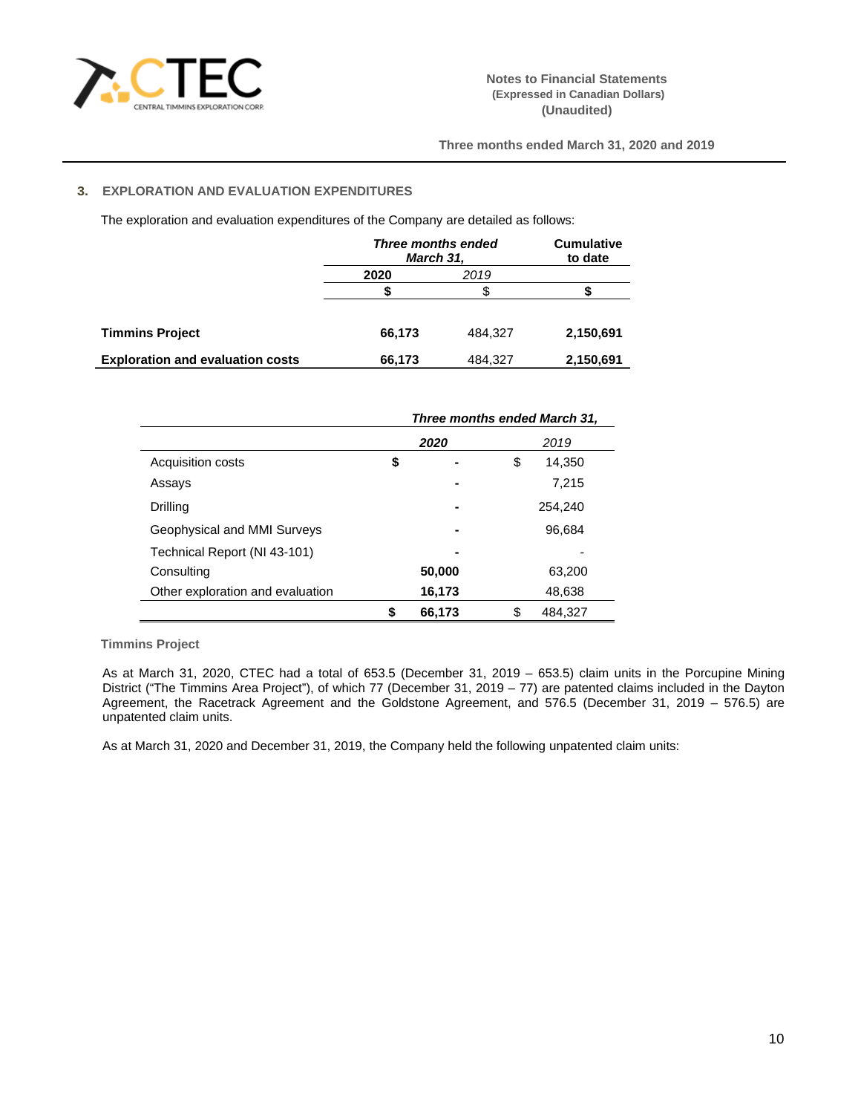

# **3. EXPLORATION AND EVALUATION EXPENDITURES**

The exploration and evaluation expenditures of the Company are detailed as follows:

|                                         | Three months ended<br>March 31, | <b>Cumulative</b><br>to date |           |
|-----------------------------------------|---------------------------------|------------------------------|-----------|
|                                         | 2020                            | 2019                         |           |
|                                         |                                 |                              |           |
|                                         |                                 |                              |           |
| <b>Timmins Project</b>                  | 66,173                          | 484.327                      | 2,150,691 |
| <b>Exploration and evaluation costs</b> | 66,173                          | 484,327                      | 2,150,691 |

|                                  | Three months ended March 31, |         |               |  |  |
|----------------------------------|------------------------------|---------|---------------|--|--|
|                                  |                              | 2020    | 2019          |  |  |
| Acquisition costs                | \$                           |         | \$<br>14,350  |  |  |
| Assays                           |                              |         | 7,215         |  |  |
| Drilling                         |                              | 254,240 |               |  |  |
| Geophysical and MMI Surveys      |                              |         | 96,684        |  |  |
| Technical Report (NI 43-101)     |                              |         |               |  |  |
| Consulting                       |                              | 50,000  | 63,200        |  |  |
| Other exploration and evaluation | 48,638<br>16,173             |         |               |  |  |
|                                  |                              | 66,173  | \$<br>484.327 |  |  |

**Timmins Project** 

As at March 31, 2020, CTEC had a total of 653.5 (December 31, 2019 – 653.5) claim units in the Porcupine Mining District ("The Timmins Area Project"), of which 77 (December 31, 2019 – 77) are patented claims included in the Dayton Agreement, the Racetrack Agreement and the Goldstone Agreement, and 576.5 (December 31, 2019 – 576.5) are unpatented claim units.

As at March 31, 2020 and December 31, 2019, the Company held the following unpatented claim units: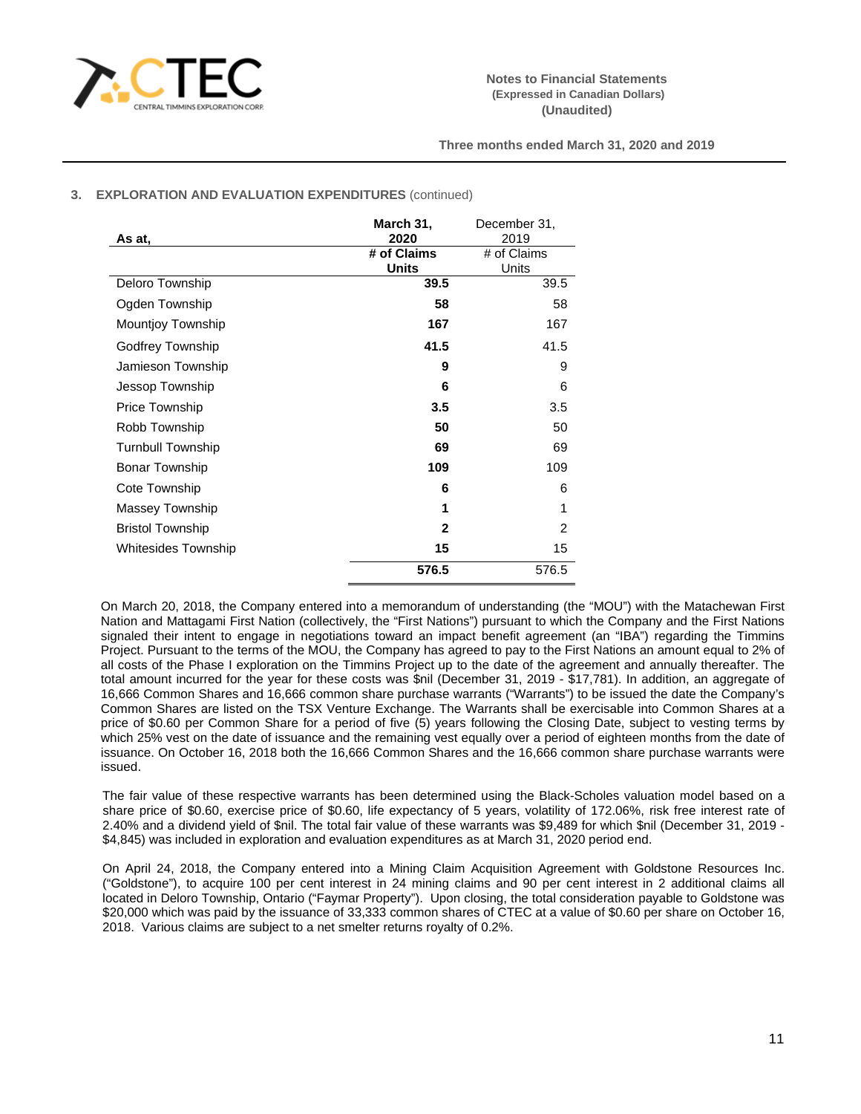

# **3. EXPLORATION AND EVALUATION EXPENDITURES** (continued)

|                          | March 31,    | December 31,   |
|--------------------------|--------------|----------------|
| As at.                   | 2020         | 2019           |
|                          | # of Claims  | # of Claims    |
|                          | <b>Units</b> | Units          |
| Deloro Township          | 39.5         | 39.5           |
| Ogden Township           | 58           | 58             |
| <b>Mountjoy Township</b> | 167          | 167            |
| Godfrey Township         | 41.5         | 41.5           |
| Jamieson Township        | 9            | 9              |
| Jessop Township          | 6            | 6              |
| <b>Price Township</b>    | 3.5          | 3.5            |
| Robb Township            | 50           | 50             |
| <b>Turnbull Township</b> | 69           | 69             |
| <b>Bonar Township</b>    | 109          | 109            |
| Cote Township            | 6            | 6              |
| Massey Township          | 1            | 1              |
| <b>Bristol Township</b>  | $\mathbf{2}$ | $\overline{2}$ |
| Whitesides Township      | 15           | 15             |
|                          | 576.5        | 576.5          |

On March 20, 2018, the Company entered into a memorandum of understanding (the "MOU") with the Matachewan First Nation and Mattagami First Nation (collectively, the "First Nations") pursuant to which the Company and the First Nations signaled their intent to engage in negotiations toward an impact benefit agreement (an "IBA") regarding the Timmins Project. Pursuant to the terms of the MOU, the Company has agreed to pay to the First Nations an amount equal to 2% of all costs of the Phase I exploration on the Timmins Project up to the date of the agreement and annually thereafter. The total amount incurred for the year for these costs was \$nil (December 31, 2019 - \$17,781). In addition, an aggregate of 16,666 Common Shares and 16,666 common share purchase warrants ("Warrants") to be issued the date the Company's Common Shares are listed on the TSX Venture Exchange. The Warrants shall be exercisable into Common Shares at a price of \$0.60 per Common Share for a period of five (5) years following the Closing Date, subject to vesting terms by which 25% vest on the date of issuance and the remaining vest equally over a period of eighteen months from the date of issuance. On October 16, 2018 both the 16,666 Common Shares and the 16,666 common share purchase warrants were issued.

The fair value of these respective warrants has been determined using the Black-Scholes valuation model based on a share price of \$0.60, exercise price of \$0.60, life expectancy of 5 years, volatility of 172.06%, risk free interest rate of 2.40% and a dividend yield of \$nil. The total fair value of these warrants was \$9,489 for which \$nil (December 31, 2019 - \$4,845) was included in exploration and evaluation expenditures as at March 31, 2020 period end.

On April 24, 2018, the Company entered into a Mining Claim Acquisition Agreement with Goldstone Resources Inc. ("Goldstone"), to acquire 100 per cent interest in 24 mining claims and 90 per cent interest in 2 additional claims all located in Deloro Township, Ontario ("Faymar Property"). Upon closing, the total consideration payable to Goldstone was \$20,000 which was paid by the issuance of 33,333 common shares of CTEC at a value of \$0.60 per share on October 16, 2018. Various claims are subject to a net smelter returns royalty of 0.2%.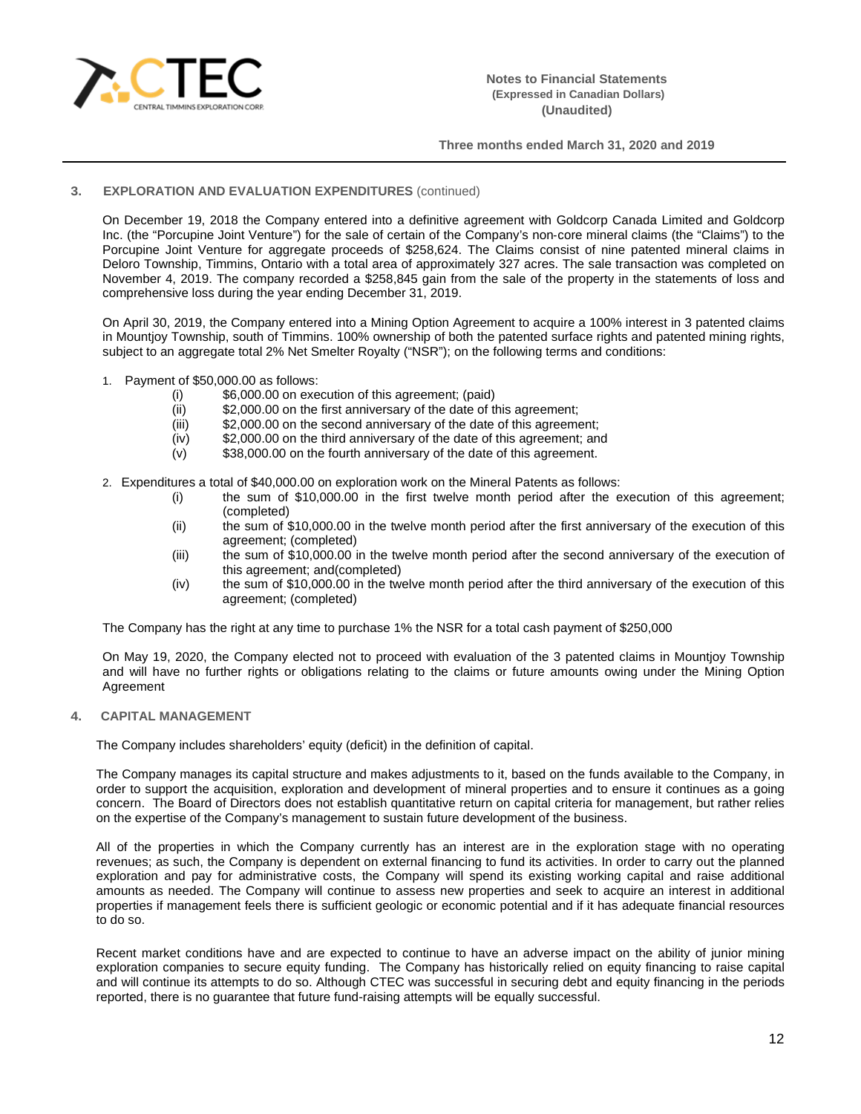

# **3. EXPLORATION AND EVALUATION EXPENDITURES** (continued)

On December 19, 2018 the Company entered into a definitive agreement with Goldcorp Canada Limited and Goldcorp Inc. (the "Porcupine Joint Venture") for the sale of certain of the Company's non-core mineral claims (the "Claims") to the Porcupine Joint Venture for aggregate proceeds of \$258,624. The Claims consist of nine patented mineral claims in Deloro Township, Timmins, Ontario with a total area of approximately 327 acres. The sale transaction was completed on November 4, 2019. The company recorded a \$258,845 gain from the sale of the property in the statements of loss and comprehensive loss during the year ending December 31, 2019.

On April 30, 2019, the Company entered into a Mining Option Agreement to acquire a 100% interest in 3 patented claims in Mountjoy Township, south of Timmins. 100% ownership of both the patented surface rights and patented mining rights, subject to an aggregate total 2% Net Smelter Royalty ("NSR"); on the following terms and conditions:

- 1. Payment of \$50,000.00 as follows:
	- (i)  $$6,000.00$  on execution of this agreement; (paid)  $$2,000.00$  on the first anniversary of the date of the
	-
	- (ii) \$2,000.00 on the first anniversary of the date of this agreement;<br>(iii) \$2,000.00 on the second anniversary of the date of this agreeme (iii)  $$2,000.00$  on the second anniversary of the date of this agreement;<br>(iv)  $$2,000.00$  on the third anniversary of the date of this agreement; an
	- \$2,000.00 on the third anniversary of the date of this agreement; and
	- (v) \$38,000.00 on the fourth anniversary of the date of this agreement.
- 2. Expenditures a total of \$40,000.00 on exploration work on the Mineral Patents as follows:
	- (i) the sum of \$10,000.00 in the first twelve month period after the execution of this agreement; (completed)
	- (ii) the sum of \$10,000.00 in the twelve month period after the first anniversary of the execution of this agreement; (completed)
	- (iii) the sum of \$10,000.00 in the twelve month period after the second anniversary of the execution of this agreement; and(completed)
	- (iv) the sum of \$10,000.00 in the twelve month period after the third anniversary of the execution of this agreement; (completed)

The Company has the right at any time to purchase 1% the NSR for a total cash payment of \$250,000

On May 19, 2020, the Company elected not to proceed with evaluation of the 3 patented claims in Mountjoy Township and will have no further rights or obligations relating to the claims or future amounts owing under the Mining Option Agreement

## **4. CAPITAL MANAGEMENT**

The Company includes shareholders' equity (deficit) in the definition of capital.

The Company manages its capital structure and makes adjustments to it, based on the funds available to the Company, in order to support the acquisition, exploration and development of mineral properties and to ensure it continues as a going concern. The Board of Directors does not establish quantitative return on capital criteria for management, but rather relies on the expertise of the Company's management to sustain future development of the business.

All of the properties in which the Company currently has an interest are in the exploration stage with no operating revenues; as such, the Company is dependent on external financing to fund its activities. In order to carry out the planned exploration and pay for administrative costs, the Company will spend its existing working capital and raise additional amounts as needed. The Company will continue to assess new properties and seek to acquire an interest in additional properties if management feels there is sufficient geologic or economic potential and if it has adequate financial resources to do so.

Recent market conditions have and are expected to continue to have an adverse impact on the ability of junior mining exploration companies to secure equity funding. The Company has historically relied on equity financing to raise capital and will continue its attempts to do so. Although CTEC was successful in securing debt and equity financing in the periods reported, there is no guarantee that future fund-raising attempts will be equally successful.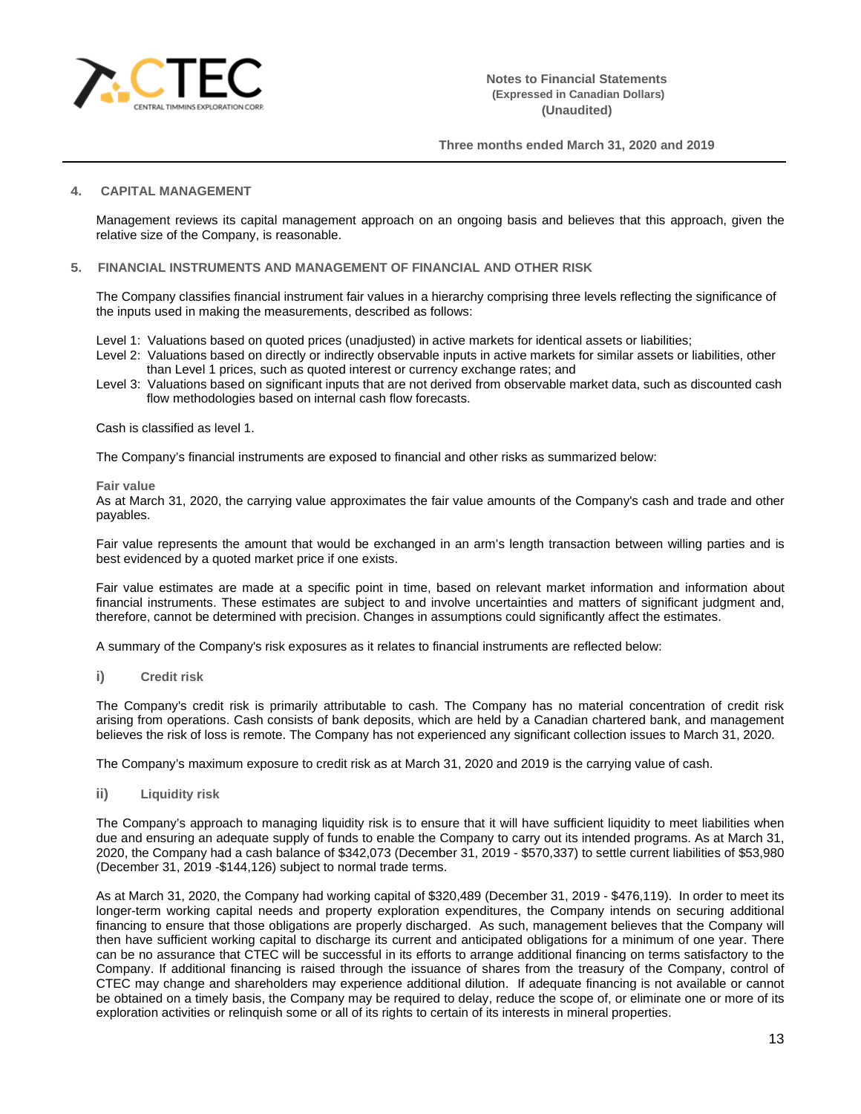

## **4. CAPITAL MANAGEMENT**

Management reviews its capital management approach on an ongoing basis and believes that this approach, given the relative size of the Company, is reasonable.

#### **5. FINANCIAL INSTRUMENTS AND MANAGEMENT OF FINANCIAL AND OTHER RISK**

The Company classifies financial instrument fair values in a hierarchy comprising three levels reflecting the significance of the inputs used in making the measurements, described as follows:

- Level 1: Valuations based on quoted prices (unadjusted) in active markets for identical assets or liabilities;
- Level 2: Valuations based on directly or indirectly observable inputs in active markets for similar assets or liabilities, other than Level 1 prices, such as quoted interest or currency exchange rates; and
- Level 3: Valuations based on significant inputs that are not derived from observable market data, such as discounted cash flow methodologies based on internal cash flow forecasts.

#### Cash is classified as level 1.

The Company's financial instruments are exposed to financial and other risks as summarized below:

#### **Fair value**

As at March 31, 2020, the carrying value approximates the fair value amounts of the Company's cash and trade and other payables.

Fair value represents the amount that would be exchanged in an arm's length transaction between willing parties and is best evidenced by a quoted market price if one exists.

Fair value estimates are made at a specific point in time, based on relevant market information and information about financial instruments. These estimates are subject to and involve uncertainties and matters of significant judgment and, therefore, cannot be determined with precision. Changes in assumptions could significantly affect the estimates.

A summary of the Company's risk exposures as it relates to financial instruments are reflected below:

**i) Credit risk**

The Company's credit risk is primarily attributable to cash. The Company has no material concentration of credit risk arising from operations. Cash consists of bank deposits, which are held by a Canadian chartered bank, and management believes the risk of loss is remote. The Company has not experienced any significant collection issues to March 31, 2020.

The Company's maximum exposure to credit risk as at March 31, 2020 and 2019 is the carrying value of cash.

**ii) Liquidity risk**

The Company's approach to managing liquidity risk is to ensure that it will have sufficient liquidity to meet liabilities when due and ensuring an adequate supply of funds to enable the Company to carry out its intended programs. As at March 31, 2020, the Company had a cash balance of \$342,073 (December 31, 2019 - \$570,337) to settle current liabilities of \$53,980 (December 31, 2019 -\$144,126) subject to normal trade terms.

As at March 31, 2020, the Company had working capital of \$320,489 (December 31, 2019 - \$476,119). In order to meet its longer-term working capital needs and property exploration expenditures, the Company intends on securing additional financing to ensure that those obligations are properly discharged. As such, management believes that the Company will then have sufficient working capital to discharge its current and anticipated obligations for a minimum of one year. There can be no assurance that CTEC will be successful in its efforts to arrange additional financing on terms satisfactory to the Company. If additional financing is raised through the issuance of shares from the treasury of the Company, control of CTEC may change and shareholders may experience additional dilution. If adequate financing is not available or cannot be obtained on a timely basis, the Company may be required to delay, reduce the scope of, or eliminate one or more of its exploration activities or relinquish some or all of its rights to certain of its interests in mineral properties.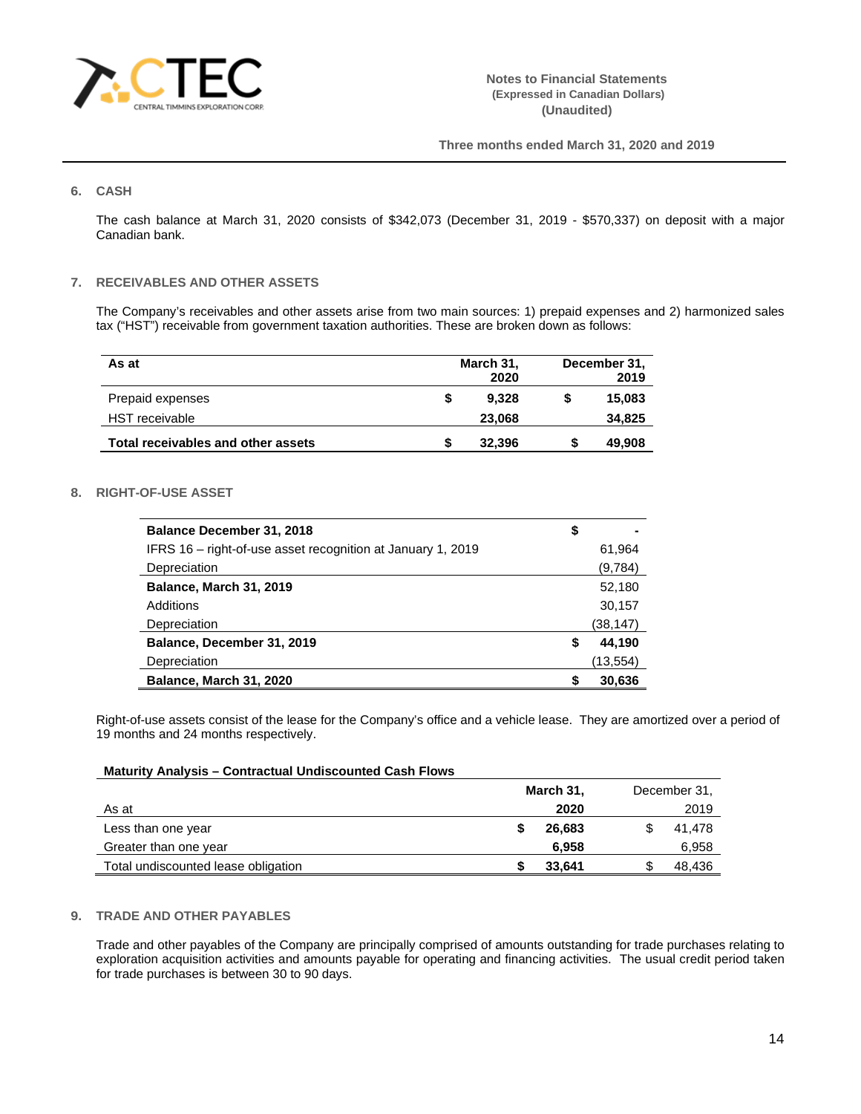

## **6. CASH**

The cash balance at March 31, 2020 consists of \$342,073 (December 31, 2019 - \$570,337) on deposit with a major Canadian bank.

# **7. RECEIVABLES AND OTHER ASSETS**

The Company's receivables and other assets arise from two main sources: 1) prepaid expenses and 2) harmonized sales tax ("HST") receivable from government taxation authorities. These are broken down as follows:

| As at                              |   | March 31, | December 31, |        |  |
|------------------------------------|---|-----------|--------------|--------|--|
|                                    |   | 2020      |              | 2019   |  |
| Prepaid expenses                   | S | 9.328     |              | 15,083 |  |
| HST receivable                     |   | 23,068    |              | 34,825 |  |
| Total receivables and other assets |   | 32,396    |              | 49,908 |  |

## **8. RIGHT-OF-USE ASSET**

| <b>Balance December 31, 2018</b>                            | \$           |
|-------------------------------------------------------------|--------------|
| IFRS 16 – right-of-use asset recognition at January 1, 2019 | 61,964       |
| Depreciation                                                | (9,784)      |
| Balance, March 31, 2019                                     | 52,180       |
| Additions                                                   | 30,157       |
| Depreciation                                                | (38, 147)    |
| Balance, December 31, 2019                                  | \$<br>44,190 |
| Depreciation                                                | (13,554)     |
| Balance, March 31, 2020                                     | \$<br>30.636 |

Right-of-use assets consist of the lease for the Company's office and a vehicle lease. They are amortized over a period of 19 months and 24 months respectively.

## **Maturity Analysis – Contractual Undiscounted Cash Flows**

|                                     | March 31, |        |  | December 31, |
|-------------------------------------|-----------|--------|--|--------------|
| As at                               |           | 2020   |  | 2019         |
| Less than one year                  |           | 26.683 |  | 41.478       |
| Greater than one year               |           | 6.958  |  | 6,958        |
| Total undiscounted lease obligation |           | 33,641 |  | 48,436       |

## **9. TRADE AND OTHER PAYABLES**

Trade and other payables of the Company are principally comprised of amounts outstanding for trade purchases relating to exploration acquisition activities and amounts payable for operating and financing activities. The usual credit period taken for trade purchases is between 30 to 90 days.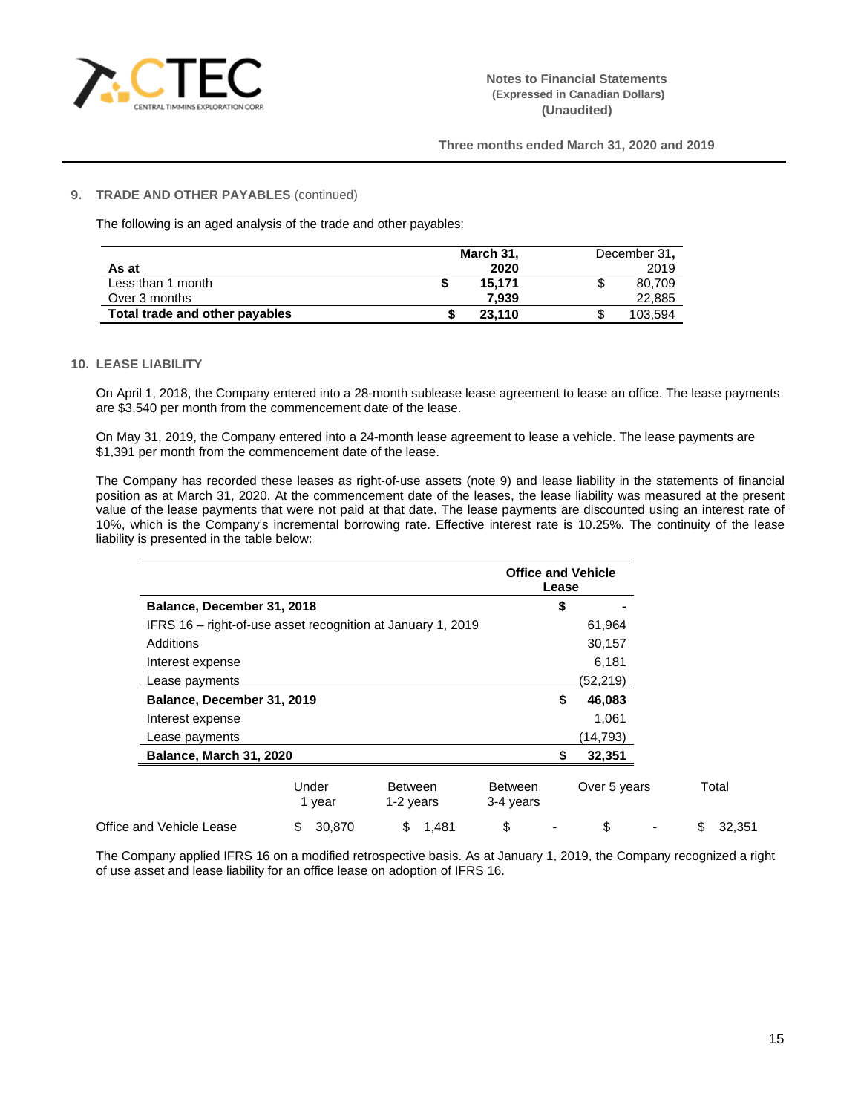

### **9. TRADE AND OTHER PAYABLES** (continued)

The following is an aged analysis of the trade and other payables:

|                                | March 31, |   | December 31, |
|--------------------------------|-----------|---|--------------|
| As at                          | 2020      |   | 2019         |
| Less than 1 month              | 15.171    | S | 80.709       |
| Over 3 months                  | 7.939     |   | 22,885       |
| Total trade and other payables | 23.110    | æ | 103.594      |

### **10. LEASE LIABILITY**

On April 1, 2018, the Company entered into a 28-month sublease lease agreement to lease an office. The lease payments are \$3,540 per month from the commencement date of the lease.

On May 31, 2019, the Company entered into a 24-month lease agreement to lease a vehicle. The lease payments are \$1,391 per month from the commencement date of the lease.

The Company has recorded these leases as right-of-use assets (note 9) and lease liability in the statements of financial position as at March 31, 2020. At the commencement date of the leases, the lease liability was measured at the present value of the lease payments that were not paid at that date. The lease payments are discounted using an interest rate of 10%, which is the Company's incremental borrowing rate. Effective interest rate is 10.25%. The continuity of the lease liability is presented in the table below:

|                                                             |                            |        |                             |       |                             | Lease    | <b>Office and Vehicle</b> |    |        |
|-------------------------------------------------------------|----------------------------|--------|-----------------------------|-------|-----------------------------|----------|---------------------------|----|--------|
| Balance, December 31, 2018                                  |                            |        |                             |       |                             | \$       |                           |    |        |
| IFRS 16 – right-of-use asset recognition at January 1, 2019 |                            |        |                             |       |                             |          | 61,964                    |    |        |
| Additions                                                   |                            |        |                             |       |                             |          | 30,157                    |    |        |
| Interest expense                                            |                            |        |                             |       |                             |          | 6,181                     |    |        |
| Lease payments                                              |                            |        |                             |       |                             | (52,219) |                           |    |        |
|                                                             | Balance, December 31, 2019 |        |                             | \$    | 46,083                      |          |                           |    |        |
| Interest expense                                            |                            |        |                             |       | 1,061                       |          |                           |    |        |
| Lease payments                                              |                            |        |                             |       |                             |          | (14,793)                  |    |        |
| Balance, March 31, 2020                                     |                            |        |                             |       |                             | \$       | 32,351                    |    |        |
|                                                             | Under<br>1 year            |        | <b>Between</b><br>1-2 years |       | <b>Between</b><br>3-4 years |          | Over 5 years              |    | Total  |
| Office and Vehicle Lease                                    | \$                         | 30,870 | \$                          | 1,481 | \$                          |          | \$                        | \$ | 32,351 |

The Company applied IFRS 16 on a modified retrospective basis. As at January 1, 2019, the Company recognized a right of use asset and lease liability for an office lease on adoption of IFRS 16.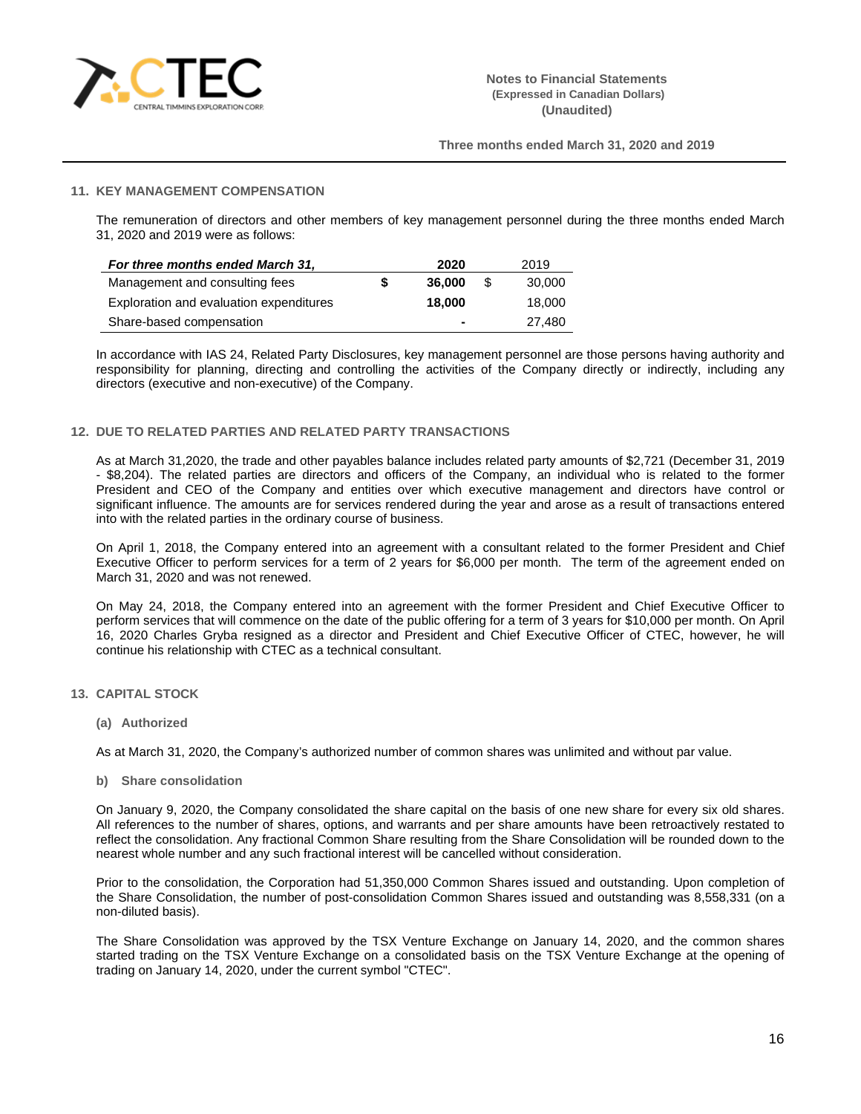

# **11. KEY MANAGEMENT COMPENSATION**

The remuneration of directors and other members of key management personnel during the three months ended March 31, 2020 and 2019 were as follows:

| For three months ended March 31,        |   | 2020   |      | 2019   |
|-----------------------------------------|---|--------|------|--------|
| Management and consulting fees          | S | 36.000 | - \$ | 30,000 |
| Exploration and evaluation expenditures |   | 18,000 |      | 18,000 |
| Share-based compensation                |   |        |      | 27.480 |

In accordance with IAS 24, Related Party Disclosures, key management personnel are those persons having authority and responsibility for planning, directing and controlling the activities of the Company directly or indirectly, including any directors (executive and non-executive) of the Company.

## **12. DUE TO RELATED PARTIES AND RELATED PARTY TRANSACTIONS**

As at March 31,2020, the trade and other payables balance includes related party amounts of \$2,721 (December 31, 2019 - \$8,204). The related parties are directors and officers of the Company, an individual who is related to the former President and CEO of the Company and entities over which executive management and directors have control or significant influence. The amounts are for services rendered during the year and arose as a result of transactions entered into with the related parties in the ordinary course of business.

On April 1, 2018, the Company entered into an agreement with a consultant related to the former President and Chief Executive Officer to perform services for a term of 2 years for \$6,000 per month. The term of the agreement ended on March 31, 2020 and was not renewed.

On May 24, 2018, the Company entered into an agreement with the former President and Chief Executive Officer to perform services that will commence on the date of the public offering for a term of 3 years for \$10,000 per month. On April 16, 2020 Charles Gryba resigned as a director and President and Chief Executive Officer of CTEC, however, he will continue his relationship with CTEC as a technical consultant.

- **13. CAPITAL STOCK**
	- **(a) Authorized**

As at March 31, 2020, the Company's authorized number of common shares was unlimited and without par value.

**b) Share consolidation**

On January 9, 2020, the Company consolidated the share capital on the basis of one new share for every six old shares. All references to the number of shares, options, and warrants and per share amounts have been retroactively restated to reflect the consolidation. Any fractional Common Share resulting from the Share Consolidation will be rounded down to the nearest whole number and any such fractional interest will be cancelled without consideration.

Prior to the consolidation, the Corporation had 51,350,000 Common Shares issued and outstanding. Upon completion of the Share Consolidation, the number of post-consolidation Common Shares issued and outstanding was 8,558,331 (on a non-diluted basis).

The Share Consolidation was approved by the TSX Venture Exchange on January 14, 2020, and the common shares started trading on the TSX Venture Exchange on a consolidated basis on the TSX Venture Exchange at the opening of trading on January 14, 2020, under the current symbol "CTEC".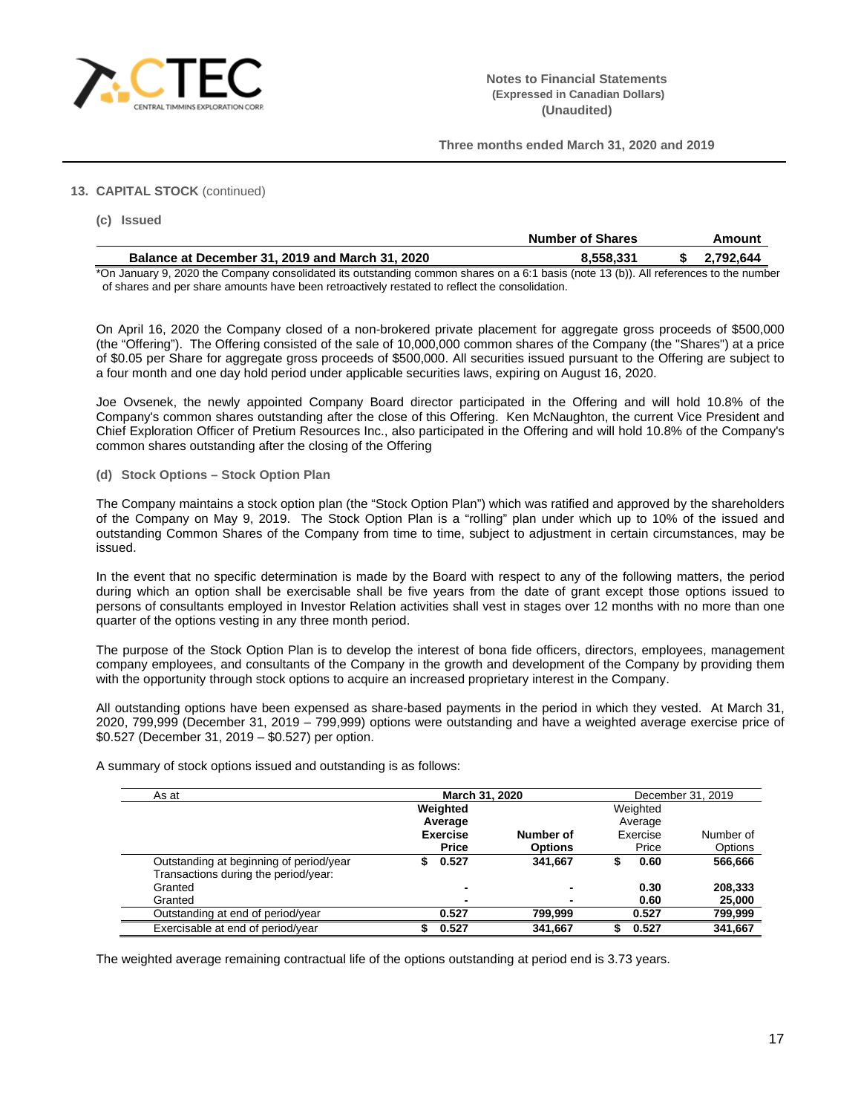

# **13. CAPITAL STOCK** (continued)

| (c) Issued                                      |                         |           |
|-------------------------------------------------|-------------------------|-----------|
|                                                 | <b>Number of Shares</b> | Amount    |
| Balance at December 31, 2019 and March 31, 2020 | 8.558.331               | 2.792.644 |

\*On January 9, 2020 the Company consolidated its outstanding common shares on a 6:1 basis (note 13 (b)). All references to the number of shares and per share amounts have been retroactively restated to reflect the consolidation.

On April 16, 2020 the Company closed of a non-brokered private placement for aggregate gross proceeds of \$500,000 (the "Offering"). The Offering consisted of the sale of 10,000,000 common shares of the Company (the "Shares") at a price of \$0.05 per Share for aggregate gross proceeds of \$500,000. All securities issued pursuant to the Offering are subject to a four month and one day hold period under applicable securities laws, expiring on August 16, 2020.

Joe Ovsenek, the newly appointed Company Board director participated in the Offering and will hold 10.8% of the Company's common shares outstanding after the close of this Offering. Ken McNaughton, the current Vice President and Chief Exploration Officer of Pretium Resources Inc., also participated in the Offering and will hold 10.8% of the Company's common shares outstanding after the closing of the Offering

**(d) Stock Options – Stock Option Plan**

The Company maintains a stock option plan (the "Stock Option Plan") which was ratified and approved by the shareholders of the Company on May 9, 2019. The Stock Option Plan is a "rolling" plan under which up to 10% of the issued and outstanding Common Shares of the Company from time to time, subject to adjustment in certain circumstances, may be issued.

In the event that no specific determination is made by the Board with respect to any of the following matters, the period during which an option shall be exercisable shall be five years from the date of grant except those options issued to persons of consultants employed in Investor Relation activities shall vest in stages over 12 months with no more than one quarter of the options vesting in any three month period.

The purpose of the Stock Option Plan is to develop the interest of bona fide officers, directors, employees, management company employees, and consultants of the Company in the growth and development of the Company by providing them with the opportunity through stock options to acquire an increased proprietary interest in the Company.

All outstanding options have been expensed as share-based payments in the period in which they vested. At March 31, 2020, 799,999 (December 31, 2019 – 799,999) options were outstanding and have a weighted average exercise price of \$0.527 (December 31, 2019 – \$0.527) per option.

| As at                                   | March 31, 2020 |                          |                |   | December 31, 2019 |           |  |
|-----------------------------------------|----------------|--------------------------|----------------|---|-------------------|-----------|--|
|                                         | Weighted       |                          |                |   | Weighted          |           |  |
|                                         |                | Average                  |                |   | Average           |           |  |
|                                         |                | <b>Exercise</b>          | Number of      |   | Exercise          | Number of |  |
|                                         |                | <b>Price</b>             | <b>Options</b> |   | Price             | Options   |  |
| Outstanding at beginning of period/year |                | 0.527                    | 341,667        | S | 0.60              | 566,666   |  |
| Transactions during the period/year:    |                |                          |                |   |                   |           |  |
| Granted                                 |                | $\overline{\phantom{0}}$ | -              |   | 0.30              | 208,333   |  |
| Granted                                 |                | $\overline{\phantom{0}}$ |                |   | 0.60              | 25,000    |  |
| Outstanding at end of period/year       |                | 0.527                    | 799.999        |   | 0.527             | 799,999   |  |
| Exercisable at end of period/year       |                | 0.527                    | 341.667        |   | 0.527             | 341.667   |  |

A summary of stock options issued and outstanding is as follows:

The weighted average remaining contractual life of the options outstanding at period end is 3.73 years.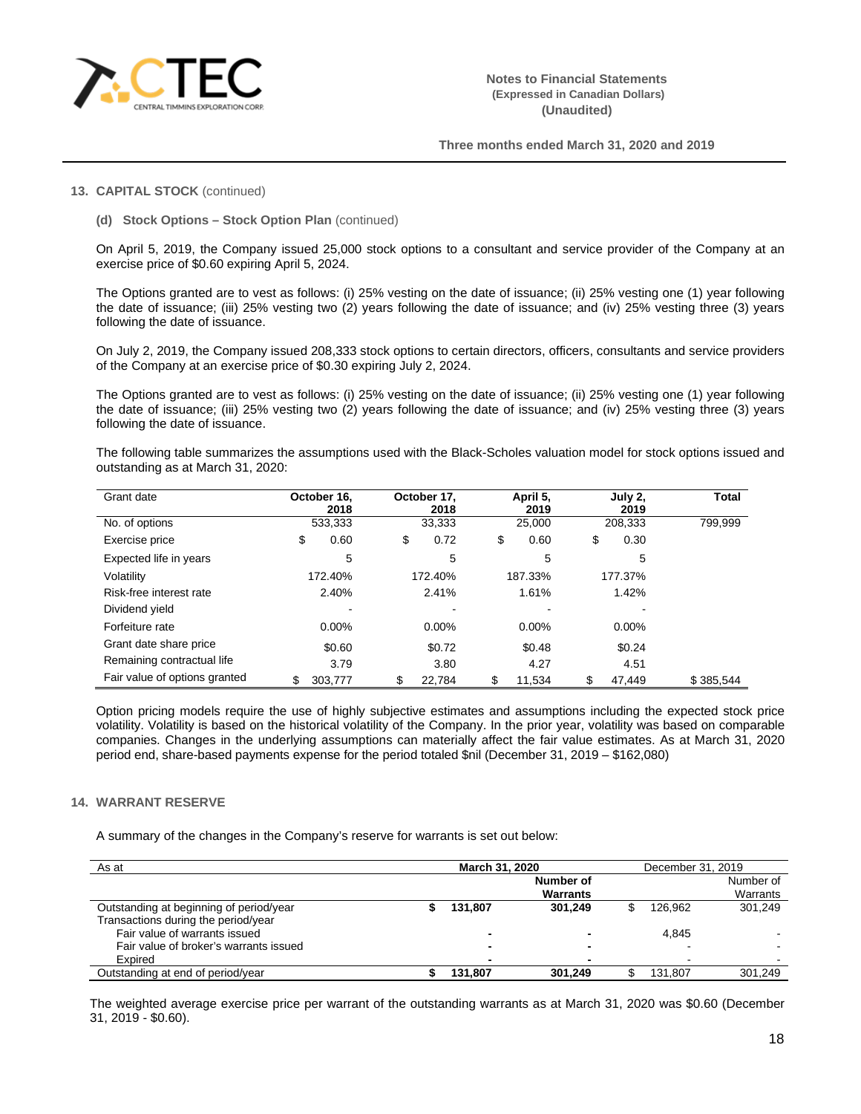

### **13. CAPITAL STOCK** (continued)

**(d) Stock Options – Stock Option Plan** (continued)

On April 5, 2019, the Company issued 25,000 stock options to a consultant and service provider of the Company at an exercise price of \$0.60 expiring April 5, 2024.

The Options granted are to vest as follows: (i) 25% vesting on the date of issuance; (ii) 25% vesting one (1) year following the date of issuance; (iii) 25% vesting two (2) years following the date of issuance; and (iv) 25% vesting three (3) years following the date of issuance.

On July 2, 2019, the Company issued 208,333 stock options to certain directors, officers, consultants and service providers of the Company at an exercise price of \$0.30 expiring July 2, 2024.

The Options granted are to vest as follows: (i) 25% vesting on the date of issuance; (ii) 25% vesting one (1) year following the date of issuance; (iii) 25% vesting two (2) years following the date of issuance; and (iv) 25% vesting three (3) years following the date of issuance.

The following table summarizes the assumptions used with the Black-Scholes valuation model for stock options issued and outstanding as at March 31, 2020:

| Grant date                    | October 16.<br>2018 | October 17.<br>2018 | April 5,<br>2019 | July 2,<br>2019 | <b>Total</b> |
|-------------------------------|---------------------|---------------------|------------------|-----------------|--------------|
| No. of options                | 533,333             | 33,333              | 25,000           | 208,333         | 799,999      |
| Exercise price                | \$<br>0.60          | \$<br>0.72          | \$<br>0.60       | \$<br>0.30      |              |
| Expected life in years        | 5                   | 5                   | 5                | 5               |              |
| Volatility                    | 172.40%             | 172.40%             | 187.33%          | 177.37%         |              |
| Risk-free interest rate       | 2.40%               | 2.41%               | 1.61%            | 1.42%           |              |
| Dividend yield                |                     |                     |                  |                 |              |
| Forfeiture rate               | $0.00\%$            | $0.00\%$            | $0.00\%$         | $0.00\%$        |              |
| Grant date share price        | \$0.60              | \$0.72              | \$0.48           | \$0.24          |              |
| Remaining contractual life    | 3.79                | 3.80                | 4.27             | 4.51            |              |
| Fair value of options granted | 303,777             | 22.784<br>\$        | \$<br>11.534     | 47.449<br>\$    | \$385.544    |

Option pricing models require the use of highly subjective estimates and assumptions including the expected stock price volatility. Volatility is based on the historical volatility of the Company. In the prior year, volatility was based on comparable companies. Changes in the underlying assumptions can materially affect the fair value estimates. As at March 31, 2020 period end, share-based payments expense for the period totaled \$nil (December 31, 2019 – \$162,080)

#### **14. WARRANT RESERVE**

A summary of the changes in the Company's reserve for warrants is set out below:

| As at                                   | March 31, 2020 |                          |  | December 31, 2019 |           |  |
|-----------------------------------------|----------------|--------------------------|--|-------------------|-----------|--|
|                                         |                | Number of                |  |                   | Number of |  |
|                                         |                | <b>Warrants</b>          |  |                   | Warrants  |  |
| Outstanding at beginning of period/year | 131,807        | 301.249                  |  | 126.962           | 301.249   |  |
| Transactions during the period/year     |                |                          |  |                   |           |  |
| Fair value of warrants issued           |                |                          |  | 4.845             |           |  |
| Fair value of broker's warrants issued  |                | $\overline{\phantom{0}}$ |  |                   |           |  |
| Expired                                 |                | $\overline{\phantom{0}}$ |  |                   |           |  |
| Outstanding at end of period/year       | 131.807        | 301.249                  |  | 131.807           | 301.249   |  |

The weighted average exercise price per warrant of the outstanding warrants as at March 31, 2020 was \$0.60 (December 31, 2019 - \$0.60).